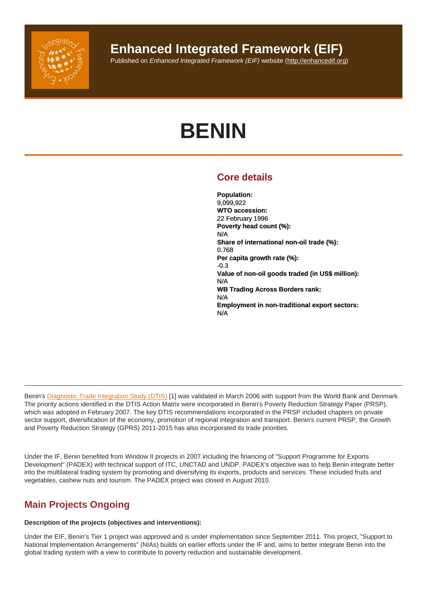## Enhanced Integrated Framework (EIF)

Published on Enhanced Integrated Framework (EIF) website (http://enhancedif.org)

# BENIN

## Core details

Population: 9,099,922 WTO accession: 22 February 1996 Poverty head count (%): N/A Share of international non-oil trade (%): 0.768 Per capita growth rate (%): -0.3 Value of non-oil goods traded (in US\$ million): N/A WB Trading Across Borders rank: N/A Employment in non-traditional export sectors: N/A

Benin's Diagnostic Trade Integration Study (DTIS) [1] was validated in March 2006 with support from the World Bank and Denmark. The priority actions identified in the DTIS Action Matrix were incorporated in Benin's Poverty Reduction Strategy Paper (PRSP), which was adopted in February 2007. The key DTIS recommendations incorporated in the PRSP included chapters on private sector support, diversification of the economy, promotion of regional integration and transport. Benin's current PRSP, the Growth and Po[verty Reduction Strategy \(GPRS\) 2011-201](http://enhancedif.org/en/system/files/uploads/benindtis_dec05.pdf)5 has also incorporated its trade priorities.

Under the IF, Benin benefited from Window II projects in 2007 including the financing of "Support Programme for Exports Development" (PADEX) with technical support of ITC, UNCTAD and UNDP. PADEX's objective was to help Benin integrate better into the multilateral trading system by promoting and diversifying its exports, products and services. These included fruits and vegetables, cashew nuts and tourism. The PADEX project was closed in August 2010.

## Main Projects Ongoing

Description of the projects (objectives and interventions):

Under the EIF, Benin's Tier 1 project was approved and is under implementation since September 2011. This project, "Support to National Implementation Arrangements" (NIAs) builds on earlier efforts under the IF and, aims to better integrate Benin into the global trading system with a view to contribute to poverty reduction and sustainable development.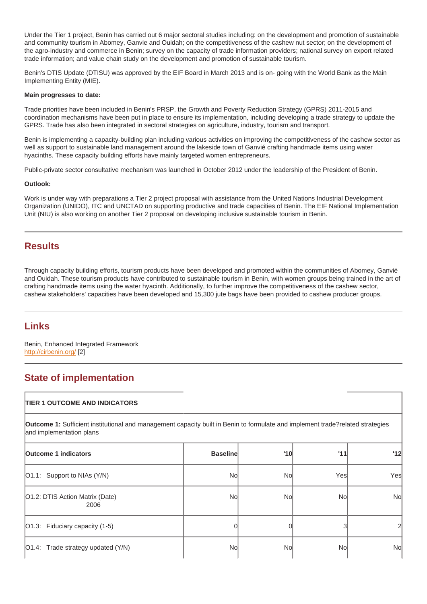Under the Tier 1 project, Benin has carried out 6 major sectoral studies including: on the development and promotion of sustainable and community tourism in Abomey, Ganvie and Ouidah; on the competitiveness of the cashew nut sector; on the development of the agro-industry and commerce in Benin; survey on the capacity of trade information providers; national survey on export related trade information; and value chain study on the development and promotion of sustainable tourism.

Benin's DTIS Update (DTISU) was approved by the EIF Board in March 2013 and is on- going with the World Bank as the Main Implementing Entity (MIE).

Main progresses to date:

Trade priorities have been included in Benin's PRSP, the Growth and Poverty Reduction Strategy (GPRS) 2011-2015 and coordination mechanisms have been put in place to ensure its implementation, including developing a trade strategy to update the GPRS. Trade has also been integrated in sectoral strategies on agriculture, industry, tourism and transport.

Benin is implementing a capacity-building plan including various activities on improving the competitiveness of the cashew sector as well as support to sustainable land management around the lakeside town of Ganvié crafting handmade items using water hyacinths. These capacity building efforts have mainly targeted women entrepreneurs.

Public-private sector consultative mechanism was launched in October 2012 under the leadership of the President of Benin.

Outlook:

Work is under way with preparations a Tier 2 project proposal with assistance from the United Nations Industrial Development Organization (UNIDO), ITC and UNCTAD on supporting productive and trade capacities of Benin. The EIF National Implementation Unit (NIU) is also working on another Tier 2 proposal on developing inclusive sustainable tourism in Benin.

### **Results**

Through capacity building efforts, tourism products have been developed and promoted within the communities of Abomey, Ganvié and Ouidah. These tourism products have contributed to sustainable tourism in Benin, with women groups being trained in the art of crafting handmade items using the water hyacinth. Additionally, to further improve the competitiveness of the cashew sector, cashew stakeholders' capacities have been developed and 15,300 jute bags have been provided to cashew producer groups.

## Links

Benin, Enhanced Integrated Framework http://cirbenin.org/ [2]

## State of implementation

| <b>TIER 1 OUTCOME AND INDICATORS</b>                                                                                                                       |                 |     |     |           |
|------------------------------------------------------------------------------------------------------------------------------------------------------------|-----------------|-----|-----|-----------|
| Outcome 1: Sufficient institutional and management capacity built in Benin to formulate and implement trade?related strategies<br>and implementation plans |                 |     |     |           |
| Outcome 1 indicators                                                                                                                                       | <b>Baseline</b> | '10 | '11 | '12       |
| $[O1.1:$ Support to NIAs $(Y/N)$                                                                                                                           | No              | Nol | Yes | Yes       |
| O1.2: DTIS Action Matrix (Date)<br>2006                                                                                                                    | Nol             | No  | Nol | No        |
| O1.3: Fiduciary capacity (1-5)                                                                                                                             |                 |     |     |           |
| [O1.4: Trade strategy updated (Y/N)                                                                                                                        | No              | Nol | Nol | <b>No</b> |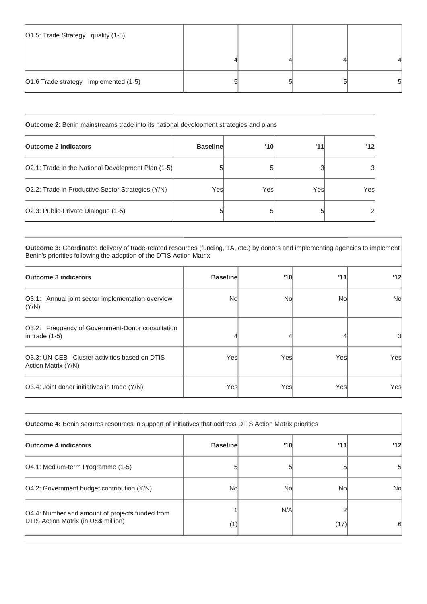| O1.5: Trade Strategy quality (1-5)    |  |   |
|---------------------------------------|--|---|
|                                       |  |   |
| O1.6 Trade strategy implemented (1-5) |  | 5 |

| <b>Outcome 2:</b> Benin mainstreams trade into its national development strategies and plans |                 |      |      |     |
|----------------------------------------------------------------------------------------------|-----------------|------|------|-----|
| <b>Outcome 2 indicators</b>                                                                  | <b>Baseline</b> | '10  | 111  | '12 |
| [O2.1: Trade in the National Development Plan (1-5)]                                         |                 |      |      | 3   |
| O2.2: Trade in Productive Sector Strategies (Y/N)                                            | Yesl            | Yesl | Yesl | Yes |
| O2.3: Public-Private Dialogue (1-5)                                                          |                 |      |      | 2   |

**Outcome 3:** Coordinated delivery of trade-related resources (funding, TA, etc.) by donors and implementing agencies to implement Benin's priorities following the adoption of the DTIS Action Matrix

| <b>Outcome 3 indicators</b>                                              | <b>Baseline</b> | '10  | '11  | '12       |
|--------------------------------------------------------------------------|-----------------|------|------|-----------|
| O3.1: Annual joint sector implementation overview<br> (Y/N)              | Nol             | Nol  | Nol  | <b>No</b> |
| O3.2: Frequency of Government-Donor consultation<br>$ $ in trade $(1-5)$ |                 |      |      | 3         |
| 03.3: UN-CEB Cluster activities based on DTIS<br>Action Matrix (Y/N)     | Yesl            | Yesl | Yesl | Yes       |
| [O3.4: Joint donor initiatives in trade (Y/N)                            | Yesl            | Yesl | Yes  | Yesl      |

| <b>Outcome 4:</b> Benin secures resources in support of initiatives that address DTIS Action Matrix priorities |                 |     |      |     |
|----------------------------------------------------------------------------------------------------------------|-----------------|-----|------|-----|
| <b>Outcome 4 indicators</b>                                                                                    | <b>Baseline</b> | '10 | '11  | '12 |
| [O4.1: Medium-term Programme (1-5)                                                                             |                 |     |      | 51  |
| O4.2: Government budget contribution (Y/N)                                                                     | No              | Nol | No   | Nol |
| O4.4: Number and amount of projects funded from<br><b>DTIS Action Matrix (in US\$ million)</b>                 |                 | N/A |      |     |
|                                                                                                                | (1)             |     | (17) | 61  |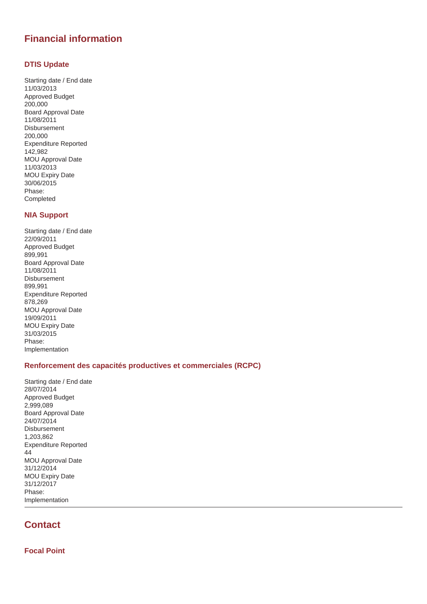## **Financial information**

#### **DTIS Update**

Starting date / End date 11/03/2013 Approved Budget 200,000 Board Approval Date 11/08/2011 Disbursement 200,000 Expenditure Reported 142,982 MOU Approval Date 11/03/2013 MOU Expiry Date 30/06/2015 Phase: Completed

#### **NIA Support**

Starting date / End date 22/09/2011 Approved Budget 899,991 Board Approval Date 11/08/2011 Disbursement 899,991 Expenditure Reported 878,269 MOU Approval Date 19/09/2011 MOU Expiry Date 31/03/2015 Phase: Implementation

#### **Renforcement des capacités productives et commerciales (RCPC)**

Starting date / End date 28/07/2014 Approved Budget 2,999,089 Board Approval Date 24/07/2014 Disbursement 1,203,862 Expenditure Reported 44 MOU Approval Date 31/12/2014 MOU Expiry Date 31/12/2017 Phase: Implementation

## **Contact**

**Focal Point**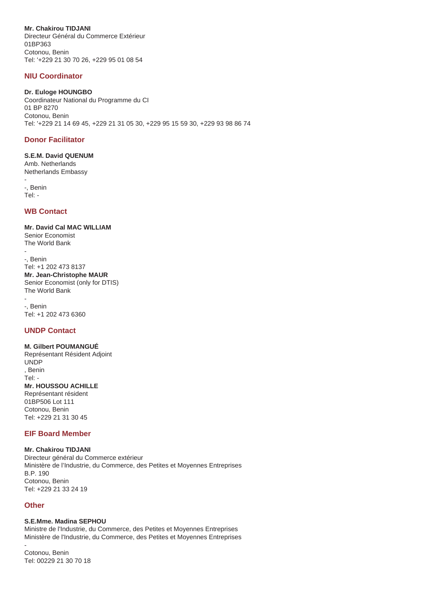**Mr. Chakirou TIDJANI**

Directeur Général du Commerce Extérieur 01BP363 Cotonou, Benin Tel: '+229 21 30 70 26, +229 95 01 08 54

#### **NIU Coordinator**

#### **Dr. Euloge HOUNGBO**

Coordinateur National du Programme du CI 01 BP 8270 Cotonou, Benin Tel: '+229 21 14 69 45, +229 21 31 05 30, +229 95 15 59 30, +229 93 98 86 74

#### **Donor Facilitator**

#### **S.E.M. David QUENUM** Amb. Netherlands

Netherlands Embassy -

-, Benin Tel: -

#### **WB Contact**

#### **Mr. David Cal MAC WILLIAM** Senior Economist

The World Bank -

-, Benin Tel: +1 202 473 8137 **Mr. Jean-Christophe MAUR** Senior Economist (only for DTIS) The World Bank

- -, Benin Tel: +1 202 473 6360

#### **UNDP Contact**

#### **M. Gilbert POUMANGUÉ** Représentant Résident Adjoint UNDP , Benin Tel: - **Mr. HOUSSOU ACHILLE** Représentant résident

01BP506 Lot 111 Cotonou, Benin Tel: +229 21 31 30 45

#### **EIF Board Member**

**Mr. Chakirou TIDJANI** Directeur général du Commerce extérieur Ministère de l'Industrie, du Commerce, des Petites et Moyennes Entreprises B.P. 190 Cotonou, Benin Tel: +229 21 33 24 19

#### **Other**

#### **S.E.Mme. Madina SEPHOU**

Ministre de l'Industrie, du Commerce, des Petites et Moyennes Entreprises Ministère de l'Industrie, du Commerce, des Petites et Moyennes Entreprises

- Cotonou, Benin Tel: 00229 21 30 70 18